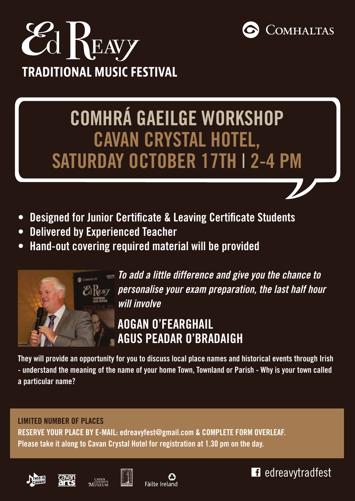



## **Comhrá Gaeilge Workshop Cavan Crystal Hotel, Saturday October 17th** I **2-4 pm**

- **• Designed for Junior Certificate & Leaving Certificate Students**
- **• Delivered by Experienced Teacher**
- **• Hand-out covering required material will be provided**



*To add a little difference and give you the chance to personalise your exam preparation, the last half hour will involve* 

## **Aogan O'Fearghail agus Peadar O'Bradaigh**

**They will provide an opportunity for you to discuss local place names and historical events through Irish** - understand the meaning of the name of your home Town, Townland or Parish - Why is your town called **a particular name?**

## **Limited number of places Reserve your place by e-mail: edreavyfest@gmail.com & complete form overleaf. Please take it along to Cavan Crystal Hotel for registration at 1.30 pm on the day.**